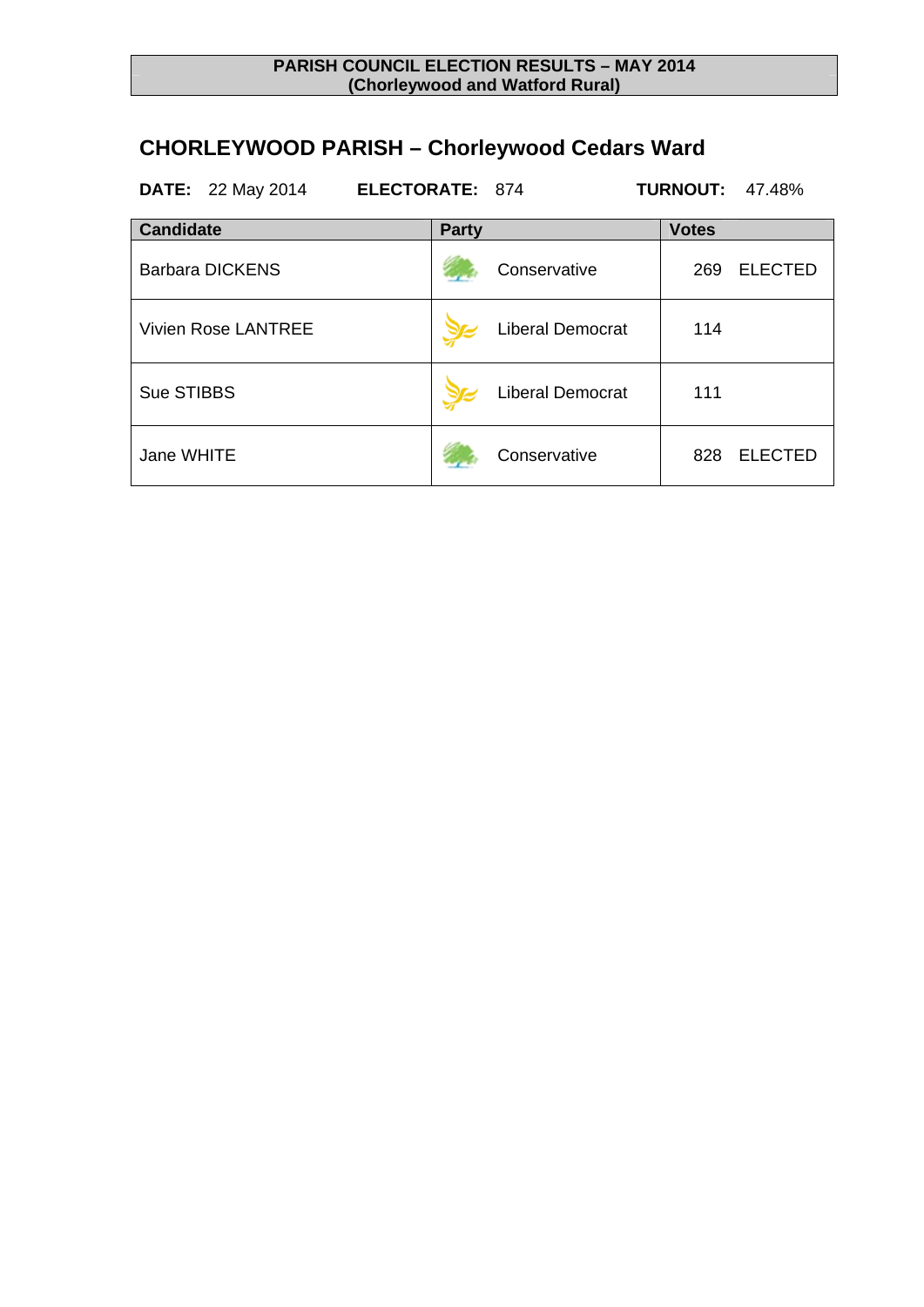## **CHORLEYWOOD PARISH – Chorleywood Cedars Ward**

| <b>DATE:</b> 22 May 2014   | <b>ELECTORATE: 874</b> |                         | <b>TURNOUT:</b><br>47.48% |
|----------------------------|------------------------|-------------------------|---------------------------|
| <b>Candidate</b>           | <b>Party</b>           |                         | <b>Votes</b>              |
| <b>Barbara DICKENS</b>     |                        | Conservative            | <b>ELECTED</b><br>269     |
| <b>Vivien Rose LANTREE</b> |                        | <b>Liberal Democrat</b> | 114                       |
| Sue STIBBS                 |                        | <b>Liberal Democrat</b> | 111                       |
| Jane WHITE                 |                        | Conservative            | <b>ELECTED</b><br>828     |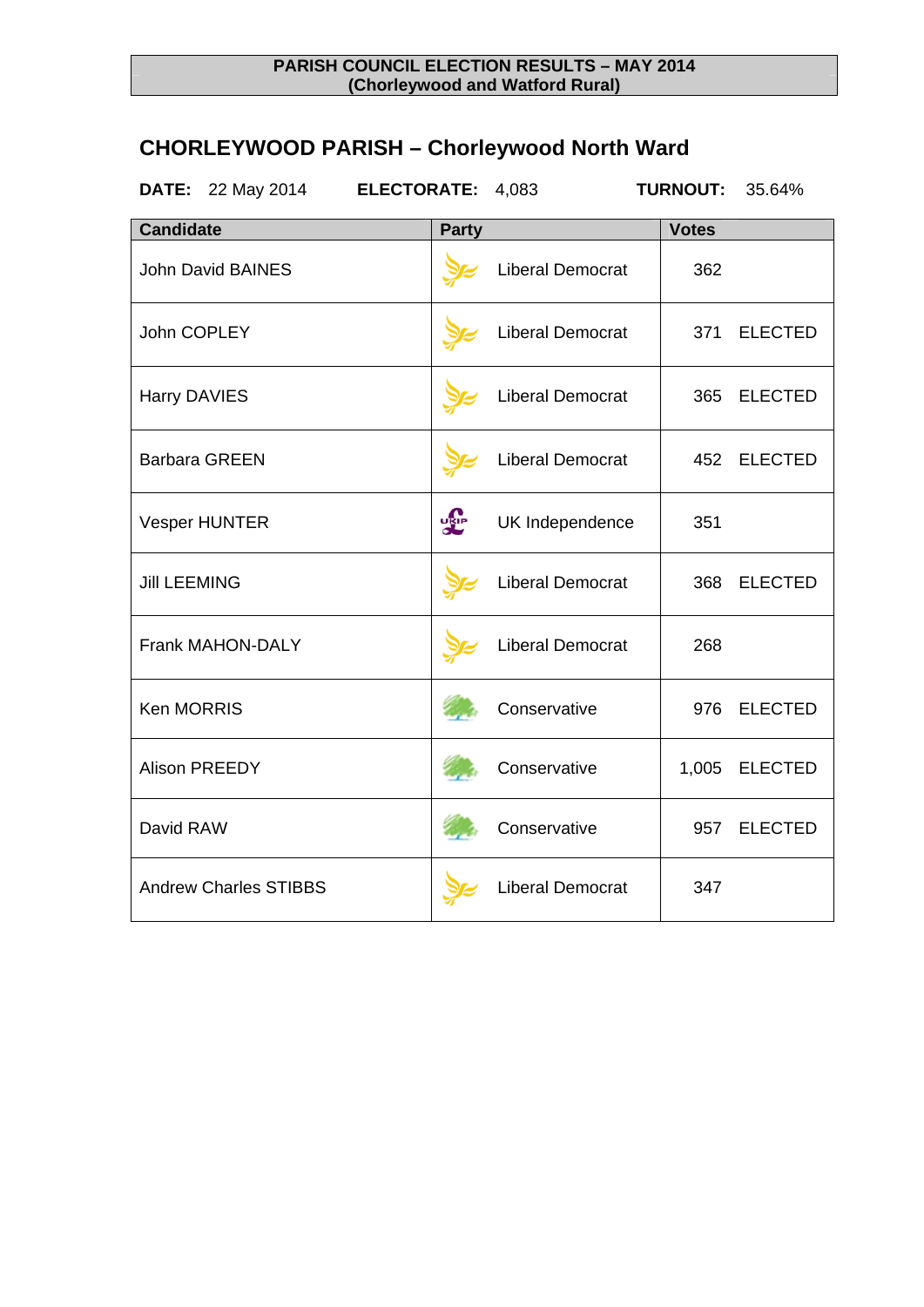## **CHORLEYWOOD PARISH – Chorleywood North Ward**

| <b>DATE:</b> 22 May 2014     | ELECTORATE: 4,083 |                         | <b>TURNOUT:</b> | 35.64%         |
|------------------------------|-------------------|-------------------------|-----------------|----------------|
| <b>Candidate</b>             | <b>Party</b>      |                         | <b>Votes</b>    |                |
| <b>John David BAINES</b>     |                   | Liberal Democrat        | 362             |                |
| John COPLEY                  |                   | <b>Liberal Democrat</b> | 371             | <b>ELECTED</b> |
| Harry DAVIES                 |                   | <b>Liberal Democrat</b> | 365             | <b>ELECTED</b> |
| <b>Barbara GREEN</b>         |                   | <b>Liberal Democrat</b> | 452             | <b>ELECTED</b> |
| <b>Vesper HUNTER</b>         | <b>LELE</b>       | UK Independence         | 351             |                |
| <b>Jill LEEMING</b>          |                   | <b>Liberal Democrat</b> | 368             | <b>ELECTED</b> |
| <b>Frank MAHON-DALY</b>      |                   | <b>Liberal Democrat</b> | 268             |                |
| <b>Ken MORRIS</b>            |                   | Conservative            | 976             | <b>ELECTED</b> |
| <b>Alison PREEDY</b>         |                   | Conservative            | 1,005           | <b>ELECTED</b> |
| David RAW                    |                   | Conservative            | 957             | <b>ELECTED</b> |
| <b>Andrew Charles STIBBS</b> |                   | <b>Liberal Democrat</b> | 347             |                |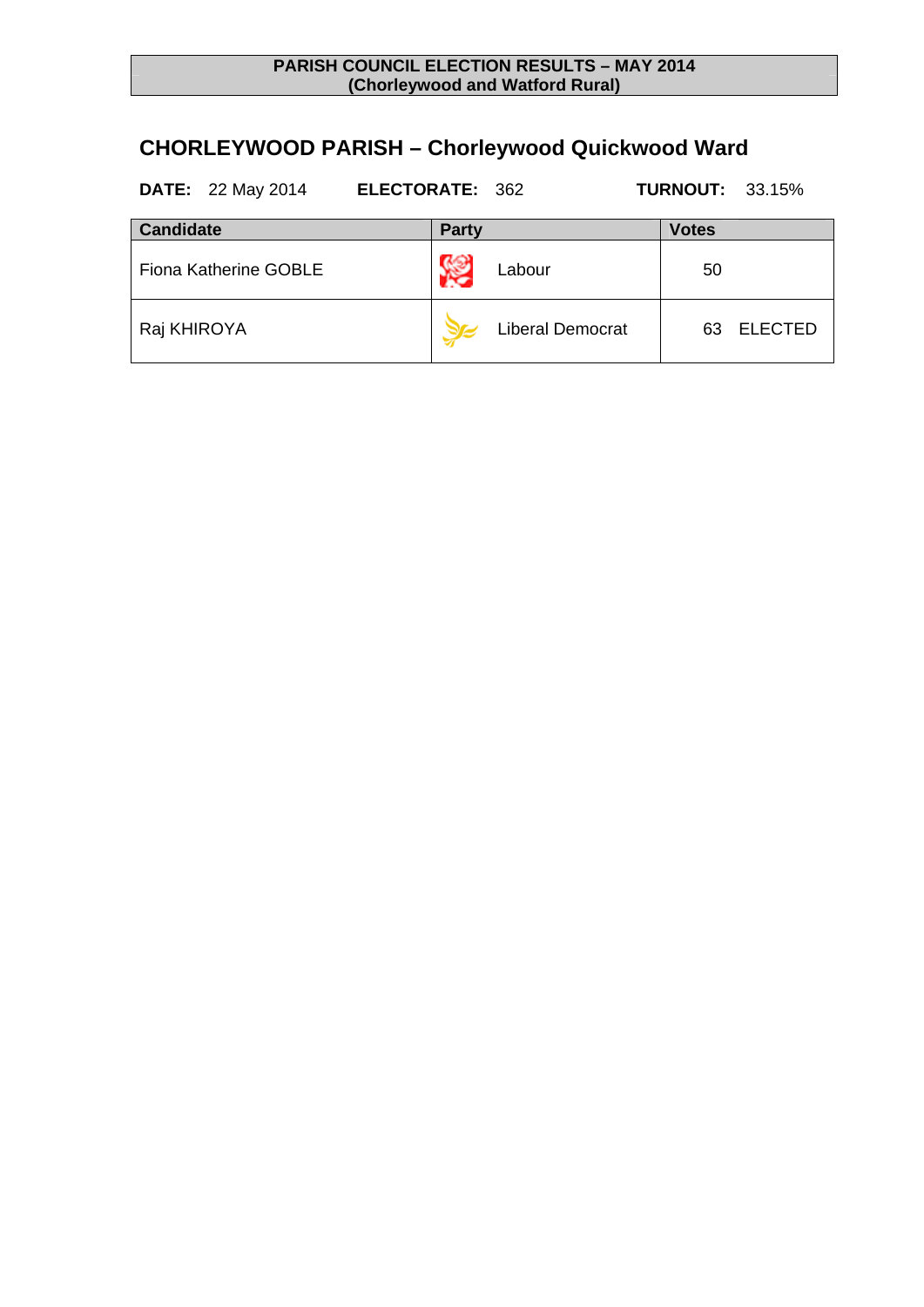## **CHORLEYWOOD PARISH – Chorleywood Quickwood Ward**

| <b>DATE:</b> 22 May 2014     | <b>ELECTORATE: 362</b> |                         | <b>TURNOUT: 33.15%</b> |                |
|------------------------------|------------------------|-------------------------|------------------------|----------------|
| <b>Candidate</b>             | <b>Party</b>           |                         | <b>Votes</b>           |                |
| <b>Fiona Katherine GOBLE</b> |                        | Labour                  | 50                     |                |
| Raj KHIROYA                  |                        | <b>Liberal Democrat</b> | 63.                    | <b>ELECTED</b> |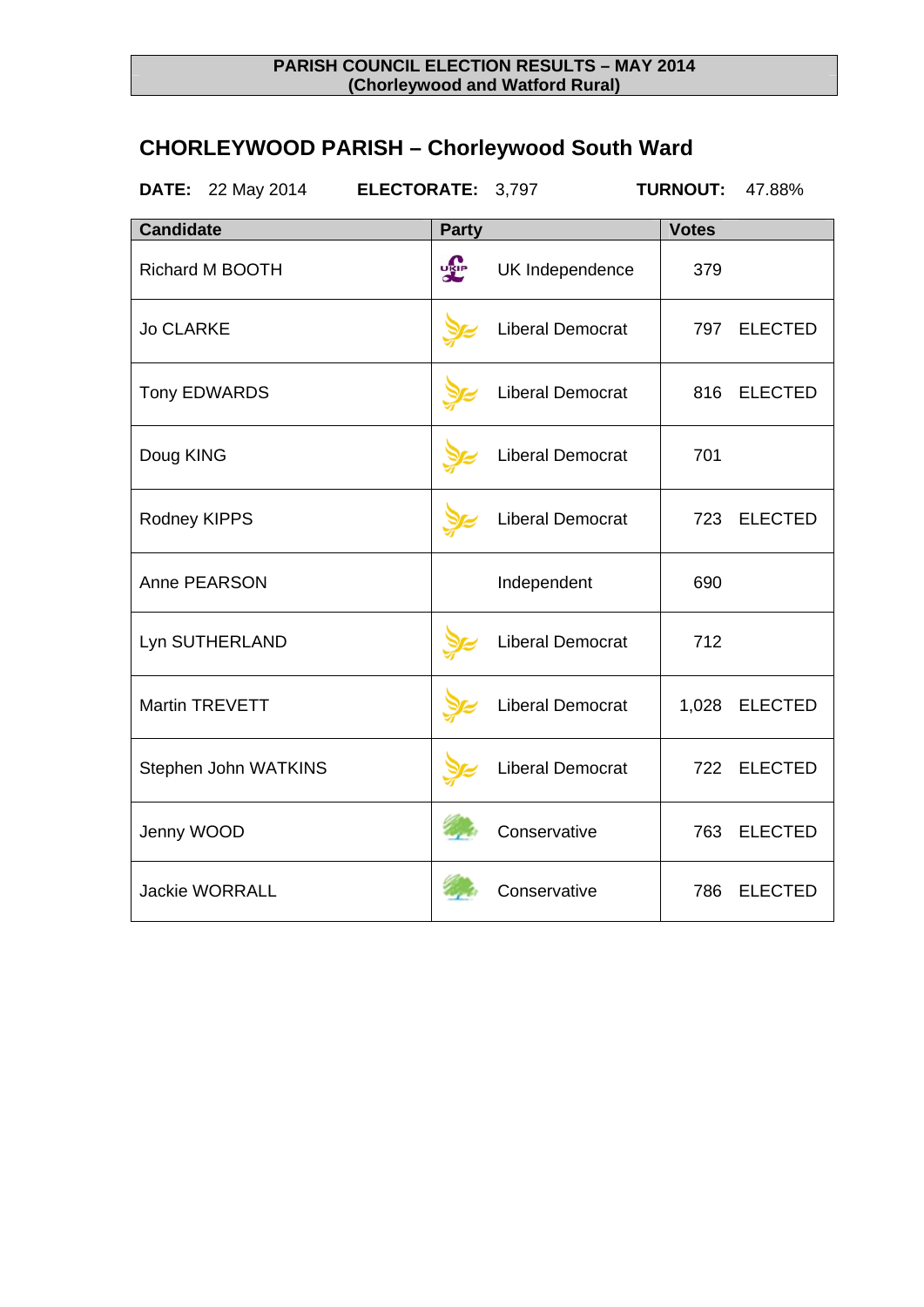## **CHORLEYWOOD PARISH – Chorleywood South Ward**

| <b>DATE:</b><br>22 May 2014 | ELECTORATE: 3,797 |                         | <b>TURNOUT:</b> | 47.88%         |
|-----------------------------|-------------------|-------------------------|-----------------|----------------|
| <b>Candidate</b>            | <b>Party</b>      |                         | <b>Votes</b>    |                |
| <b>Richard M BOOTH</b>      | <b>DRIP</b>       | UK Independence         | 379             |                |
| <b>Jo CLARKE</b>            |                   | <b>Liberal Democrat</b> | 797             | <b>ELECTED</b> |
| <b>Tony EDWARDS</b>         |                   | Liberal Democrat        | 816             | <b>ELECTED</b> |
| Doug KING                   |                   | <b>Liberal Democrat</b> | 701             |                |
| Rodney KIPPS                |                   | <b>Liberal Democrat</b> | 723             | <b>ELECTED</b> |
| Anne PEARSON                |                   | Independent             | 690             |                |
| Lyn SUTHERLAND              |                   | Liberal Democrat        | 712             |                |
| <b>Martin TREVETT</b>       |                   | Liberal Democrat        | 1,028           | <b>ELECTED</b> |
| Stephen John WATKINS        |                   | <b>Liberal Democrat</b> | 722             | <b>ELECTED</b> |
| Jenny WOOD                  |                   | Conservative            | 763             | <b>ELECTED</b> |
| <b>Jackie WORRALL</b>       |                   | Conservative            | 786             | <b>ELECTED</b> |